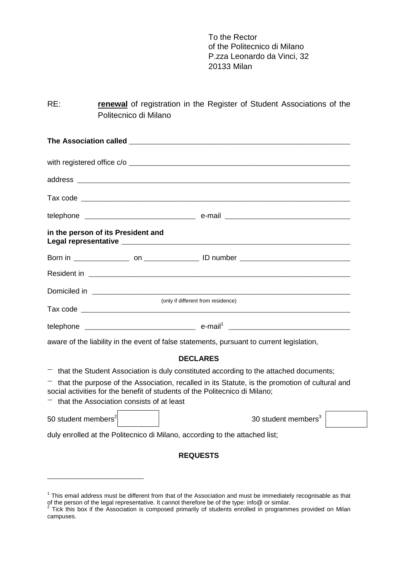To the Rector of the Politecnico di Milano P.zza Leonardo da Vinci, 32 20133 Milan

RE: **renewal** of registration in the Register of Student Associations of the Politecnico di Milano

|                                                                                           | with registered office c/o         |
|-------------------------------------------------------------------------------------------|------------------------------------|
|                                                                                           |                                    |
|                                                                                           |                                    |
|                                                                                           |                                    |
| in the person of its President and                                                        |                                    |
|                                                                                           |                                    |
|                                                                                           |                                    |
|                                                                                           |                                    |
|                                                                                           | (only if different from residence) |
|                                                                                           |                                    |
| aware of the liability in the event of false statements, pursuant to current legislation, |                                    |

## **DECLARES**

 $-$  that the Student Association is duly constituted according to the attached documents;

 $-$  that the purpose of the Association, recalled in its Statute, is the promotion of cultural and social activities for the benefit of students of the Politecnico di Milano;

 $-$  that the Association consists of at least

50 student members2 30 student members3

duly enrolled at the Politecnico di Milano, according to the attached list;

## **REQUESTS**

 $1$  This email address must be different from that of the Association and must be immediately recognisable as that of the person of the legal representative. It cannot therefore be of the type: info@ or similar.<br><sup>2</sup> Tick this box if the Association is composed primarily of students enrolled in programmes provided on Milan

campuses.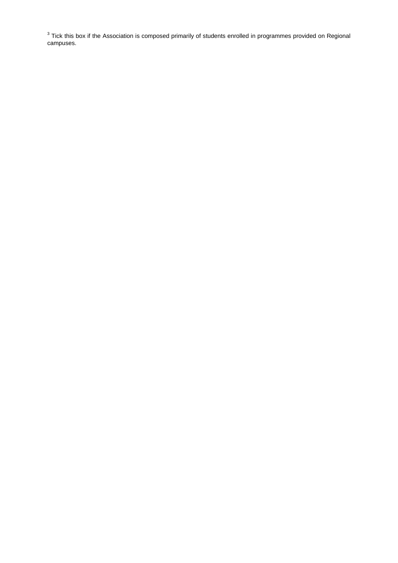$3$  Tick this box if the Association is composed primarily of students enrolled in programmes provided on Regional campuses.